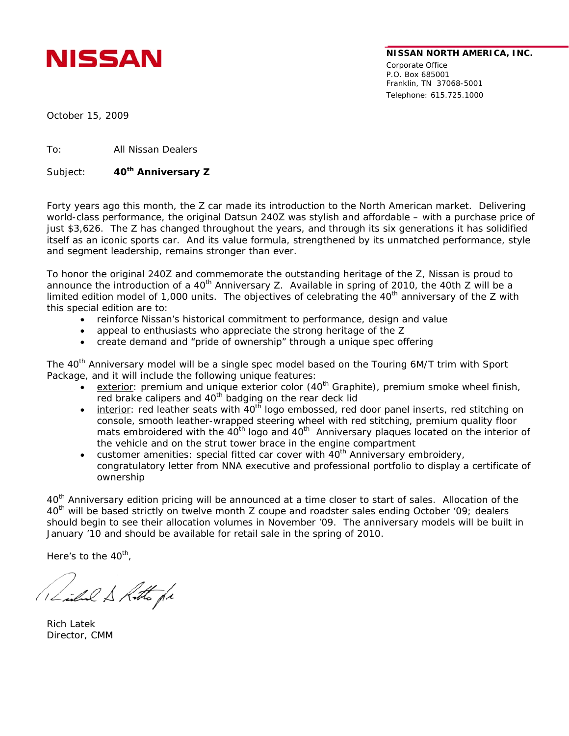

Corporate Office P.O. Box 685001 Franklin, TN 37068-5001 Telephone: 615.725.1000

NISSAN

October 15, 2009

To: All Nissan Dealers

Subject: **40th Anniversary Z**

Forty years ago this month, the Z car made its introduction to the North American market. Delivering world-class performance, the original Datsun 240Z was stylish and affordable – with a purchase price of just \$3,626. The Z has changed throughout the years, and through its six generations it has solidified itself as an iconic sports car. And its value formula, strengthened by its unmatched performance, style and segment leadership, remains stronger than ever.

To honor the original 240Z and commemorate the outstanding heritage of the Z, Nissan is proud to announce the introduction of a 40<sup>th</sup> Anniversary Z. Available in spring of 2010, the 40th Z will be a limited edition model of 1,000 units. The objectives of celebrating the 40<sup>th</sup> anniversary of the Z with this special edition are to:

- reinforce Nissan's historical commitment to performance, design and value
- appeal to enthusiasts who appreciate the strong heritage of the Z
- create demand and "pride of ownership" through a unique spec offering

The 40<sup>th</sup> Anniversary model will be a single spec model based on the Touring 6M/T trim with Sport Package, and it will include the following unique features:

- exterior: premium and unique exterior color  $(40<sup>th</sup>$  Graphite), premium smoke wheel finish, red brake calipers and 40<sup>th</sup> badging on the rear deck lid
- interior: red leather seats with 40<sup>th</sup> logo embossed, red door panel inserts, red stitching on console, smooth leather-wrapped steering wheel with red stitching, premium quality floor mats embroidered with the 40<sup>th</sup> logo and 40<sup>th</sup> Anniversary plaques located on the interior of the vehicle and on the strut tower brace in the engine compartment
- customer amenities: special fitted car cover with  $40<sup>th</sup>$  Anniversary embroidery, congratulatory letter from NNA executive and professional portfolio to display a certificate of ownership

40<sup>th</sup> Anniversary edition pricing will be announced at a time closer to start of sales. Allocation of the 40<sup>th</sup> will be based strictly on twelve month Z coupe and roadster sales ending October '09; dealers should begin to see their allocation volumes in November '09. The anniversary models will be built in January '10 and should be available for retail sale in the spring of 2010.

Here's to the  $40<sup>th</sup>$ ,

Linhal & Kitto fr

Rich Latek Director, CMM